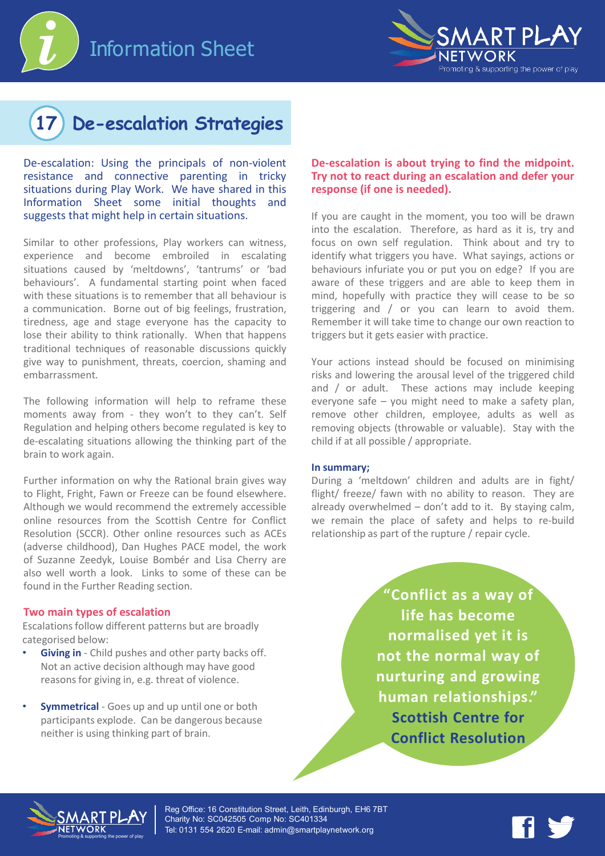



# **17 De-escalation Strategies**

De-escalation: Using the principals of non-violent resistance and connective parenting in tricky situations during Play Work. We have shared in this Information Sheet some initial thoughts and suggests that might help in certain situations.

Similar to other professions, Play workers can witness, experience and become embroiled in escalating situations caused by 'meltdowns', 'tantrums' or 'bad behaviours'. A fundamental starting point when faced with these situations is to remember that all behaviour is a communication. Borne out of big feelings, frustration, tiredness, age and stage everyone has the capacity to lose their ability to think rationally. When that happens traditional techniques of reasonable discussions quickly give way to punishment, threats, coercion, shaming and embarrassment.

The following information will help to reframe these moments away from - they won't to they can't. Self Regulation and helping others become regulated is key to de-escalating situations allowing the thinking part of the brain to work again.

Further information on why the Rational brain gives way to Flight, Fright, Fawn or Freeze can be found elsewhere. Although we would recommend the extremely accessible online resources from the Scottish Centre for Conflict Resolution (SCCR). Other online resources such as ACEs (adverse childhood), Dan Hughes PACE model, the work of Suzanne Zeedyk, Louise Bombér and Lisa Cherry are also well worth a look. Links to some of these can be found in the Further Reading section.

#### **Two main types of escalation**

Escalations follow different patterns but are broadly categorised below:

- **Giving in** Child pushes and other party backs off. Not an active decision although may have good reasons for giving in, e.g. threat of violence.
- **Symmetrical** Goes up and up until one or both participants explode. Can be dangerous because neither is using thinking part of brain.

### **De-escalation is about trying to find the midpoint. Try not to react during an escalation and defer your response (if one is needed).**

If you are caught in the moment, you too will be drawn into the escalation. Therefore, as hard as it is, try and focus on own self regulation. Think about and try to identify what triggers you have. What sayings, actions or behaviours infuriate you or put you on edge? If you are aware of these triggers and are able to keep them in mind, hopefully with practice they will cease to be so triggering and / or you can learn to avoid them. Remember it will take time to change our own reaction to triggers but it gets easier with practice.

Your actions instead should be focused on minimising risks and lowering the arousal level of the triggered child and / or adult. These actions may include keeping everyone safe – you might need to make a safety plan, remove other children, employee, adults as well as removing objects (throwable or valuable). Stay with the child if at all possible / appropriate.

#### **In summary;**

During a 'meltdown' children and adults are in fight/ flight/ freeze/ fawn with no ability to reason. They are already overwhelmed – don't add to it. By staying calm, we remain the place of safety and helps to re-build relationship as part of the rupture / repair cycle.

> **"Conflict as a way of life has become normalised yet it is not the normal way of nurturing and growing human relationships." Scottish Centre for Conflict Resolution**



Reg Office: 16 Constitution Street, Leith, Edinburgh, EH6 7BT Charity No: SC042505 Comp No: SC401334 Tel: 0131 554 2620 E-mail: admin@smartplaynetwork.org